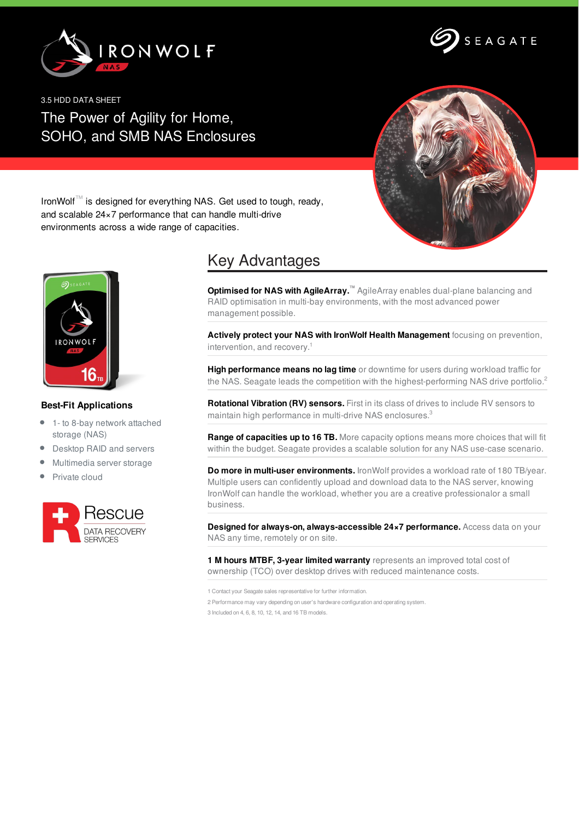



3.5 HDD DATA SHEET The Power of Agility for Home, SOHO, and SMB NAS Enclosures



IronWolf™ is designed for everything NAS. Get used to tough, ready, and scalable 24×7 performance that can handle multi-drive environments across a wide range of capacities.



## **Best-Fit Applications**

- 1- to 8-bay network attached storage (NAS)
- Desktop RAID and servers
- Multimedia server storage
- Private cloud



## Key Advantages

**Optimised for NAS with AgileArray.™** AgileArray enables dual-plane balancing and RAID optimisation in multi-bay environments, with the most advanced power management possible.

**Actively protect your NAS with IronWolf Health Management** focusing on prevention, intervention, and recovery. 1

**High performance means no lag time** or downtime for users during workload traffic for the NAS. Seagate leads the competition with the highest-performing NAS drive portfolio.<sup>2</sup>

**Rotational Vibration (RV) sensors.** First in its class of drives to include RV sensors to maintain high performance in multi-drive NAS enclosures.<sup>3</sup>

**Range of capacities up to 16 TB.** More capacity options means more choices that will fit within the budget. Seagate provides a scalable solution for any NAS use-case scenario.

**Do more in multi-user environments.** IronWolf provides a workload rate of 180 TB/year. Multiple users can confidently upload and download data to the NAS server, knowing IronWolf can handle the workload, whether you are a creative professionalor a small business.

**Designed for always-on, always-accessible 24×7 performance.** Access data on your NAS any time, remotely or on site.

**1 M hours MTBF, 3-year limited warranty** represents an improved total cost of ownership (TCO) over desktop drives with reduced maintenance costs.

1 Contact your Seagate sales representative for further information. 2 Performance may vary depending on user's hardware configuration and operating system. 3 Included on 4, 6, 8, 10, 12, 14, and 16 TB models.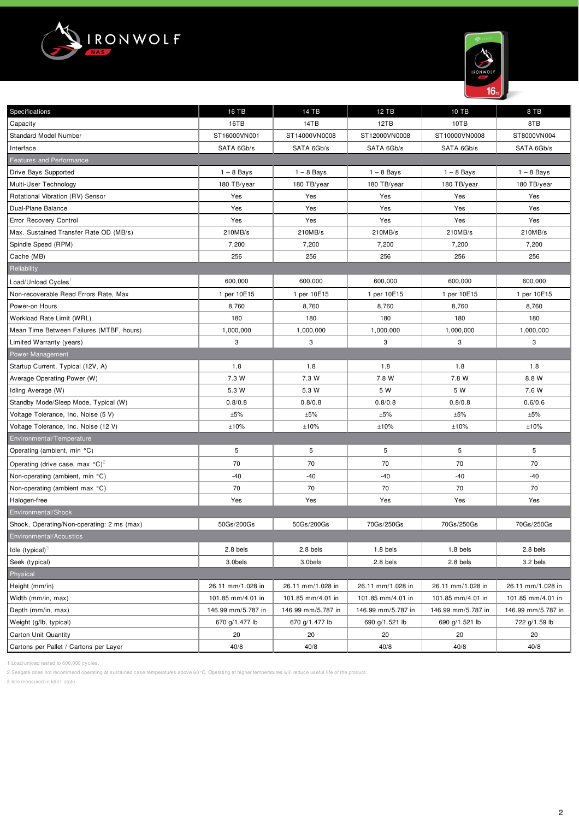



| Specifications                                                       | 16 TB              | 14 TB              | <b>12 TB</b>       | 10 TB              | 8 TB               |
|----------------------------------------------------------------------|--------------------|--------------------|--------------------|--------------------|--------------------|
| Capacity                                                             | 16TB               | 14TB               | 12TB               | 10TB               | 8TB                |
| <b>Standard Model Number</b>                                         | ST16000VN001       | ST14000VN0008      | ST12000VN0008      | ST10000VN0008      | ST8000VN004        |
| Interface                                                            | SATA 6Gb/s         | SATA 6Gb/s         | SATA 6Gb/s         | SATA 6Gb/s         | SATA 6Gb/s         |
| <b>Features and Performance</b>                                      |                    |                    |                    |                    |                    |
| Drive Bays Supported                                                 | $1 - 8$ Bays       | $1 - 8$ Bays       | $1 - 8$ Bays       | $1 - 8$ Bays       | $1 - 8$ Bays       |
| Multi-User Technology                                                | 180 TB/year        | 180 TB/year        | 180 TB/year        | 180 TB/year        | 180 TB/year        |
| Rotational Vibration (RV) Sensor                                     | Yes                | Yes                | Yes                | Yes                | Yes                |
| Dual-Plane Balance                                                   | Yes                | Yes                | Yes                | Yes                | Yes                |
| <b>Error Recovery Control</b>                                        | Yes                | Yes                | Yes                | Yes                | Yes                |
| Max. Sustained Transfer Rate OD (MB/s)                               | 210MB/s            | 210MB/s            | 210MB/s            | 210MB/s            | 210MB/s            |
| Spindle Speed (RPM)                                                  | 7,200              | 7,200              | 7,200              | 7,200              | 7,200              |
| Cache (MB)                                                           | 256                | 256                | 256                | 256                | 256                |
| Reliability                                                          |                    |                    |                    |                    |                    |
| Load/Unload Cycles                                                   | 600,000            | 600,000            | 600,000            | 600,000            | 600,000            |
| Non-recoverable Read Errors Rate, Max                                | 1 per 10E15        | 1 per 10E15        | 1 per 10E15        | 1 per 10E15        | 1 per 10E15        |
| Power-on Hours                                                       | 8,760              | 8,760              | 8,760              | 8,760              | 8,760              |
| Workload Rate Limit (WRL)                                            | 180                | 180                | 180                | 180                | 180                |
| Mean Time Between Failures (MTBF, hours)                             | 1,000,000          | 1,000,000          | 1,000,000          | 1,000,000          | 1,000,000          |
| Limited Warranty (years)                                             | 3                  | 3                  | 3                  | 3                  | 3                  |
| Power Management                                                     |                    |                    |                    |                    |                    |
| Startup Current, Typical (12V, A)                                    | 1.8                | 1.8                | 1.8                | 1.8                | 1.8                |
| Average Operating Power (W)                                          | 7.3 W              | 7.3 W              | 7.8 W              | 7.8 W              | 8.8 W              |
| Idling Average (W)                                                   | 5.3 W              | 5.3 W              | 5 W                | 5 W                | 7.6 W              |
| Standby Mode/Sleep Mode, Typical (W)                                 | 0.8/0.8            | 0.8/0.8            | 0.8/0.8            | 0.8/0.8            | 0.6/0.6            |
| Voltage Tolerance, Inc. Noise (5 V)                                  | ±5%                | ±5%                | $\pm 5\%$          | ±5%                | ±5%                |
| Voltage Tolerance, Inc. Noise (12 V)                                 | ±10%               | ±10%               | ±10%               | ±10%               | ±10%               |
| Environmental/Temperature                                            |                    |                    |                    |                    |                    |
| Operating (ambient, min °C)                                          | 5                  | 5                  | 5                  | 5                  | 5                  |
| Operating (drive case, max $^{\circ}$ C) <sup><math>\ge</math></sup> | 70                 | 70                 | 70                 | 70                 | 70                 |
| Non-operating (ambient, min °C)                                      | $-40$              | $-40$              | $-40$              | $-40$              | $-40$              |
| Non-operating (ambient max °C)                                       | 70                 | 70                 | 70                 | 70                 | 70                 |
| Halogen-free                                                         | Yes                | Yes                | Yes                | Yes                | Yes                |
| Environmental/Shock                                                  |                    |                    |                    |                    |                    |
| Shock, Operating/Non-operating: 2 ms (max)                           | 50Gs/200Gs         | 50Gs/200Gs         | 70Gs/250Gs         | 70Gs/250Gs         | 70Gs/250Gs         |
| Environmental/Acoustics                                              |                    |                    |                    |                    |                    |
| Idle $(typical)^3$                                                   | 2.8 bels           | 2.8 bels           | 1.8 bels           | 1.8 bels           | 2.8 bels           |
| Seek (typical)                                                       | 3.0bels            | 3.0bels            | 2.8 bels           | 2.8 bels           | 3.2 bels           |
| Physical                                                             |                    |                    |                    |                    |                    |
| Height (mm/in)                                                       | 26.11 mm/1.028 in  | 26.11 mm/1.028 in  | 26.11 mm/1.028 in  | 26.11 mm/1.028 in  | 26.11 mm/1.028 in  |
| Width (mm/in, max)                                                   | 101.85 mm/4.01 in  | 101.85 mm/4.01 in  | 101.85 mm/4.01 in  | 101.85 mm/4.01 in  | 101.85 mm/4.01 in  |
| Depth (mm/in, max)                                                   | 146.99 mm/5.787 in | 146.99 mm/5.787 in | 146.99 mm/5.787 in | 146.99 mm/5.787 in | 146.99 mm/5.787 in |
| Weight (g/lb, typical)                                               | 670 g/1.477 lb     | 670 g/1.477 lb     | 690 g/1.521 lb     | 690 g/1.521 lb     | 722 g/1.59 lb      |
| <b>Carton Unit Quantity</b>                                          | 20                 | 20                 | 20                 | 20                 | 20                 |
| Cartons per Pallet / Cartons per Layer                               | 40/8               | 40/8               | 40/8               | 40/8               | 40/8               |

1 Load/unload tested to 600,000 cycles.

2 Seagate does not recommend operating at sustained case temperatures above 60°C. Operating at higher temperatures will reduce useful life of the product.

3 Idle measured in Idle1 state.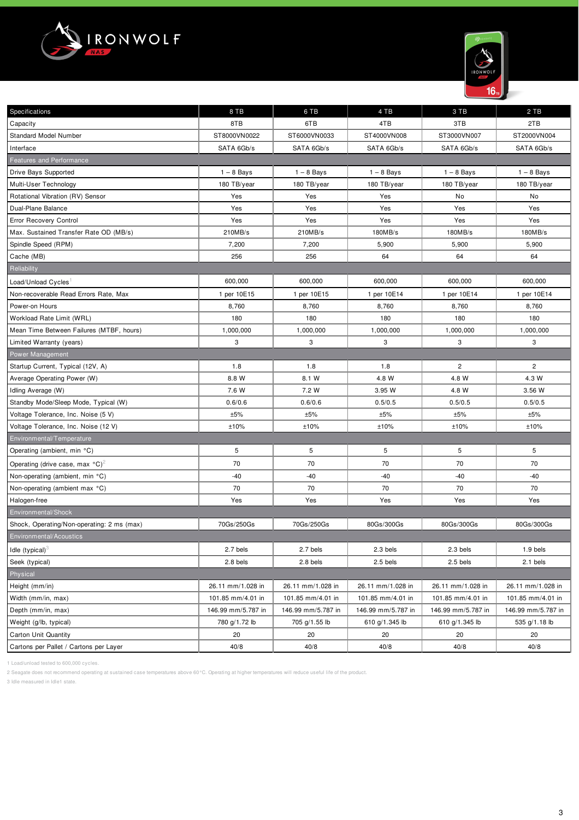



| Specifications                                        | 8 TB               | 6 TB               | 4 TB               | 3 TB               | 2 TB               |
|-------------------------------------------------------|--------------------|--------------------|--------------------|--------------------|--------------------|
| Capacity                                              | 8TB                | 6TB                | 4TB                | 3TB                | 2TB                |
| <b>Standard Model Number</b>                          | ST8000VN0022       | ST6000VN0033       | ST4000VN008        | ST3000VN007        | ST2000VN004        |
| Interface                                             | SATA 6Gb/s         | SATA 6Gb/s         | SATA 6Gb/s         | SATA 6Gb/s         | SATA 6Gb/s         |
| Features and Performance                              |                    |                    |                    |                    |                    |
| Drive Bays Supported                                  | $1 - 8$ Bays       | $1 - 8$ Bays       | $1 - 8$ Bays       | $1 - 8$ Bays       | $1 - 8$ Bays       |
| Multi-User Technology                                 | 180 TB/year        | 180 TB/year        | 180 TB/year        | 180 TB/year        | 180 TB/year        |
| Rotational Vibration (RV) Sensor                      | Yes                | Yes                | Yes                | No                 | No                 |
| Dual-Plane Balance                                    | Yes                | Yes                | Yes                | Yes                | Yes                |
| Error Recovery Control                                | Yes                | Yes                | Yes                | Yes                | Yes                |
| Max. Sustained Transfer Rate OD (MB/s)                | 210MB/s            | 210MB/s            | 180MB/s            | 180MB/s            | 180MB/s            |
| Spindle Speed (RPM)                                   | 7,200              | 7,200              | 5,900              | 5,900              | 5,900              |
| Cache (MB)                                            | 256                | 256                | 64                 | 64                 | 64                 |
| Reliability                                           |                    |                    |                    |                    |                    |
| Load/Unload Cycles                                    | 600,000            | 600,000            | 600,000            | 600,000            | 600,000            |
| Non-recoverable Read Errors Rate, Max                 | 1 per 10E15        | 1 per 10E15        | 1 per 10E14        | 1 per 10E14        | 1 per 10E14        |
| Power-on Hours                                        | 8,760              | 8,760              | 8,760              | 8,760              | 8,760              |
| Workload Rate Limit (WRL)                             | 180                | 180                | 180                | 180                | 180                |
| Mean Time Between Failures (MTBF, hours)              | 1,000,000          | 1,000,000          | 1,000,000          | 1,000,000          | 1,000,000          |
| Limited Warranty (years)                              | 3                  | 3                  | 3                  | 3                  | 3                  |
| <b>Power Management</b>                               |                    |                    |                    |                    |                    |
| Startup Current, Typical (12V, A)                     | 1.8                | 1.8                | 1.8                | $\mathbf{2}$       | $\overline{c}$     |
| Average Operating Power (W)                           | 8.8 W              | 8.1 W              | 4.8 W              | 4.8 W              | 4.3 W              |
| Idling Average (W)                                    | 7.6 W              | 7.2 W              | 3.95 W             | 4.8 W              | 3.56 W             |
| Standby Mode/Sleep Mode, Typical (W)                  | 0.6/0.6            | 0.6/0.6            | 0.5/0.5            | 0.5/0.5            | 0.5/0.5            |
| Voltage Tolerance, Inc. Noise (5 V)                   | ±5%                | ±5%                | $\pm 5\%$          | ±5%                | ±5%                |
| Voltage Tolerance, Inc. Noise (12 V)                  | ±10%               | ±10%               | ±10%               | ±10%               | ±10%               |
| Environmental/Temperature                             |                    |                    |                    |                    |                    |
| Operating (ambient, min °C)                           | 5                  | 5                  | 5                  | 5                  | 5                  |
| Operating (drive case, max $^{\circ}$ C) <sup>2</sup> | 70                 | 70                 | 70                 | 70                 | 70                 |
| Non-operating (ambient, min °C)                       | $-40$              | $-40$              | -40                | $-40$              | $-40$              |
| Non-operating (ambient max °C)                        | 70                 | 70                 | 70                 | 70                 | 70                 |
| Halogen-free                                          | Yes                | Yes                | Yes                | Yes                | Yes                |
| Environmental/Shock                                   |                    |                    |                    |                    |                    |
| Shock, Operating/Non-operating: 2 ms (max)            | 70Gs/250Gs         | 70Gs/250Gs         | 80Gs/300Gs         | 80Gs/300Gs         | 80Gs/300Gs         |
| Environmental/Acoustics                               |                    |                    |                    |                    |                    |
| Idle $(typical)^3$                                    | 2.7 bels           | 2.7 bels           | 2.3 bels           | 2.3 bels           | 1.9 bels           |
| Seek (typical)                                        | 2.8 bels           | 2.8 bels           | 2.5 bels           | 2.5 bels           | 2.1 bels           |
| Physical                                              |                    |                    |                    |                    |                    |
| Height (mm/in)                                        | 26.11 mm/1.028 in  | 26.11 mm/1.028 in  | 26.11 mm/1.028 in  | 26.11 mm/1.028 in  | 26.11 mm/1.028 in  |
| Width (mm/in, max)                                    | 101.85 mm/4.01 in  | 101.85 mm/4.01 in  | 101.85 mm/4.01 in  | 101.85 mm/4.01 in  | 101.85 mm/4.01 in  |
| Depth (mm/in, max)                                    | 146.99 mm/5.787 in | 146.99 mm/5.787 in | 146.99 mm/5.787 in | 146.99 mm/5.787 in | 146.99 mm/5.787 in |
| Weight (g/lb, typical)                                | 780 g/1.72 lb      | 705 g/1.55 lb      | 610 g/1.345 lb     | 610 g/1.345 lb     | 535 g/1.18 lb      |
| Carton Unit Quantity                                  | 20                 | 20                 | 20                 | 20                 | 20                 |
| Cartons per Pallet / Cartons per Layer                | 40/8               | 40/8               | 40/8               | 40/8               | 40/8               |

1 Load/unload tested to 600,000 cycles.

2 Seagate does not recommend operating at sustained case temperatures above 60°C. Operating at higher temperatures will reduce useful life of the product.

3 Idle measured in Idle1 state.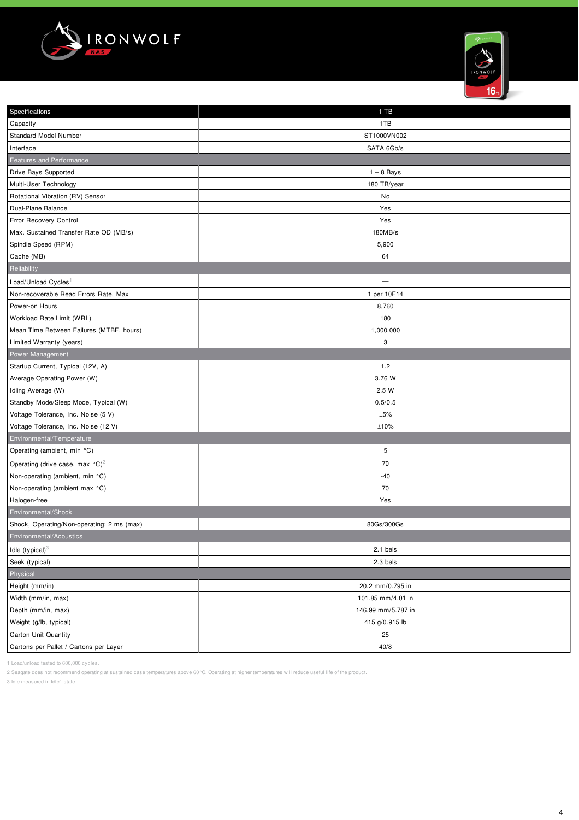



| Specifications                                        | 1 TB               |
|-------------------------------------------------------|--------------------|
| Capacity                                              | 1TB                |
| Standard Model Number                                 | ST1000VN002        |
| Interface                                             | SATA 6Gb/s         |
| Features and Performance                              |                    |
| Drive Bays Supported                                  | $1 - 8$ Bays       |
| Multi-User Technology                                 | 180 TB/year        |
| Rotational Vibration (RV) Sensor                      | No                 |
| Dual-Plane Balance                                    | Yes                |
| Error Recovery Control                                | Yes                |
| Max. Sustained Transfer Rate OD (MB/s)                | 180MB/s            |
| Spindle Speed (RPM)                                   | 5,900              |
| Cache (MB)                                            | 64                 |
| Reliability                                           |                    |
| Load/Unload Cycles                                    | $\qquad \qquad -$  |
| Non-recoverable Read Errors Rate, Max                 | 1 per 10E14        |
| Power-on Hours                                        | 8,760              |
| Workload Rate Limit (WRL)                             | 180                |
| Mean Time Between Failures (MTBF, hours)              | 1,000,000          |
| Limited Warranty (years)                              | 3                  |
| Power Management                                      |                    |
| Startup Current, Typical (12V, A)                     | 1.2                |
| Average Operating Power (W)                           | 3.76 W             |
| Idling Average (W)                                    | 2.5 W              |
| Standby Mode/Sleep Mode, Typical (W)                  | 0.5/0.5            |
| Voltage Tolerance, Inc. Noise (5 V)                   | ±5%                |
| Voltage Tolerance, Inc. Noise (12 V)                  | ±10%               |
| Environmental/Temperature                             |                    |
| Operating (ambient, min °C)                           | 5                  |
| Operating (drive case, max $^{\circ}$ C) <sup>2</sup> | 70                 |
| Non-operating (ambient, min °C)                       | $-40$              |
| Non-operating (ambient max °C)                        | 70                 |
| Halogen-free                                          | Yes                |
| Environmental/Shock                                   |                    |
| Shock, Operating/Non-operating: 2 ms (max)            | 80Gs/300Gs         |
| Environmental/Acoustics                               |                    |
| Idle $(typical)^3$                                    | 2.1 bels           |
| Seek (typical)                                        | 2.3 bels           |
| Physical                                              |                    |
| Height (mm/in)                                        | 20.2 mm/0.795 in   |
| Width (mm/in, max)                                    | 101.85 mm/4.01 in  |
| Depth (mm/in, max)                                    | 146.99 mm/5.787 in |
| Weight (g/lb, typical)                                | 415 g/0.915 lb     |
| Carton Unit Quantity                                  | 25                 |
| Cartons per Pallet / Cartons per Layer                | 40/8               |
|                                                       |                    |

1 Load/unload tested to 600,000 cycles.

2 Seagate does not recommend operating at sustained case temperatures above 60°C. Operating at higher temperatures will reduce useful life of the product.

3 Idle measured in Idle1 state.